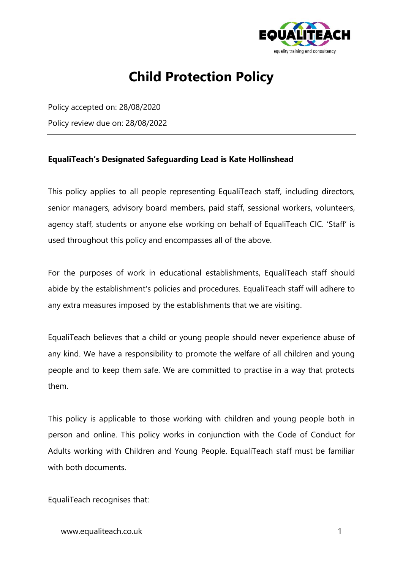

# **Child Protection Policy**

Policy accepted on: 28/08/2020 Policy review due on: 28/08/2022

#### **EqualiTeach's Designated Safeguarding Lead is Kate Hollinshead**

This policy applies to all people representing EqualiTeach staff, including directors, senior managers, advisory board members, paid staff, sessional workers, volunteers, agency staff, students or anyone else working on behalf of EqualiTeach CIC. 'Staff' is used throughout this policy and encompasses all of the above.

For the purposes of work in educational establishments, EqualiTeach staff should abide by the establishment's policies and procedures. EqualiTeach staff will adhere to any extra measures imposed by the establishments that we are visiting.

EqualiTeach believes that a child or young people should never experience abuse of any kind. We have a responsibility to promote the welfare of all children and young people and to keep them safe. We are committed to practise in a way that protects them.

This policy is applicable to those working with children and young people both in person and online. This policy works in conjunction with the Code of Conduct for Adults working with Children and Young People. EqualiTeach staff must be familiar with both documents.

EqualiTeach recognises that: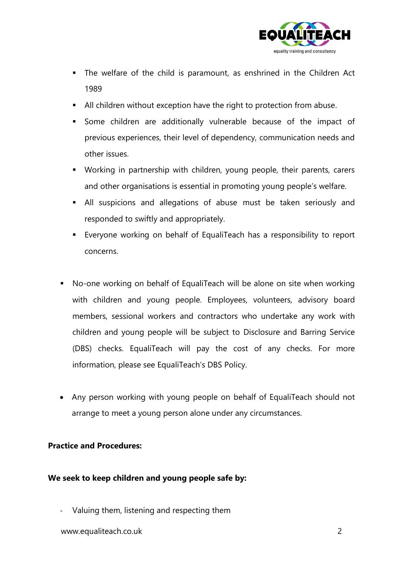

- The welfare of the child is paramount, as enshrined in the Children Act 1989
- All children without exception have the right to protection from abuse.
- Some children are additionally vulnerable because of the impact of previous experiences, their level of dependency, communication needs and other issues.
- Working in partnership with children, young people, their parents, carers and other organisations is essential in promoting young people's welfare.
- **E** All suspicions and allegations of abuse must be taken seriously and responded to swiftly and appropriately.
- Everyone working on behalf of EqualiTeach has a responsibility to report concerns.
- No-one working on behalf of EqualiTeach will be alone on site when working with children and young people. Employees, volunteers, advisory board members, sessional workers and contractors who undertake any work with children and young people will be subject to Disclosure and Barring Service (DBS) checks. EqualiTeach will pay the cost of any checks. For more information, please see EqualiTeach's DBS Policy.
- Any person working with young people on behalf of EqualiTeach should not arrange to meet a young person alone under any circumstances.

### **Practice and Procedures:**

#### **We seek to keep children and young people safe by:**

- Valuing them, listening and respecting them

www.equaliteach.co.uk 2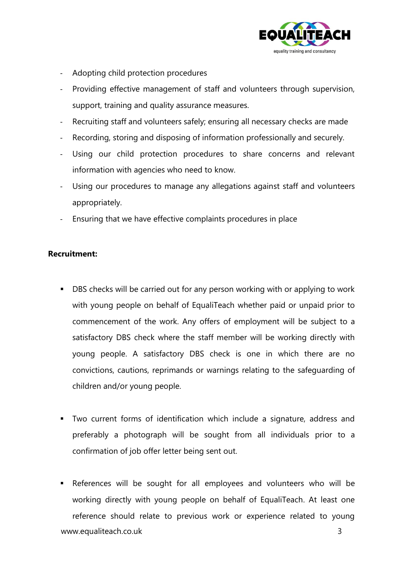

- Adopting child protection procedures
- Providing effective management of staff and volunteers through supervision, support, training and quality assurance measures.
- Recruiting staff and volunteers safely; ensuring all necessary checks are made
- Recording, storing and disposing of information professionally and securely.
- Using our child protection procedures to share concerns and relevant information with agencies who need to know.
- Using our procedures to manage any allegations against staff and volunteers appropriately.
- Ensuring that we have effective complaints procedures in place

#### **Recruitment:**

- DBS checks will be carried out for any person working with or applying to work with young people on behalf of EqualiTeach whether paid or unpaid prior to commencement of the work. Any offers of employment will be subject to a satisfactory DBS check where the staff member will be working directly with young people. A satisfactory DBS check is one in which there are no convictions, cautions, reprimands or warnings relating to the safeguarding of children and/or young people.
- Two current forms of identification which include a signature, address and preferably a photograph will be sought from all individuals prior to a confirmation of job offer letter being sent out.
- www.equaliteach.co.uk 3 ■ References will be sought for all employees and volunteers who will be working directly with young people on behalf of EqualiTeach. At least one reference should relate to previous work or experience related to young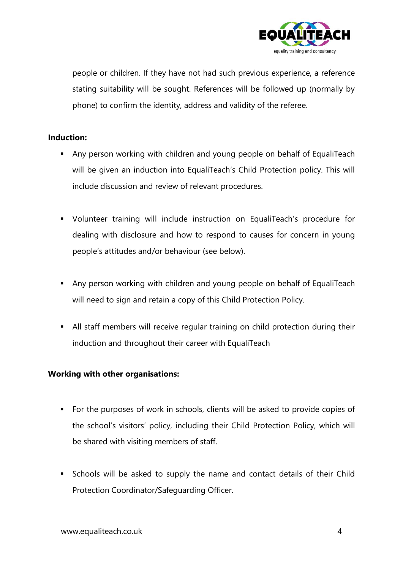

people or children. If they have not had such previous experience, a reference stating suitability will be sought. References will be followed up (normally by phone) to confirm the identity, address and validity of the referee.

### **Induction:**

- Any person working with children and young people on behalf of EqualiTeach will be given an induction into EqualiTeach's Child Protection policy. This will include discussion and review of relevant procedures.
- Volunteer training will include instruction on EqualiTeach's procedure for dealing with disclosure and how to respond to causes for concern in young people's attitudes and/or behaviour (see below).
- Any person working with children and young people on behalf of EqualiTeach will need to sign and retain a copy of this Child Protection Policy.
- **E** All staff members will receive regular training on child protection during their induction and throughout their career with EqualiTeach

### **Working with other organisations:**

- For the purposes of work in schools, clients will be asked to provide copies of the school's visitors' policy, including their Child Protection Policy, which will be shared with visiting members of staff.
- Schools will be asked to supply the name and contact details of their Child Protection Coordinator/Safeguarding Officer.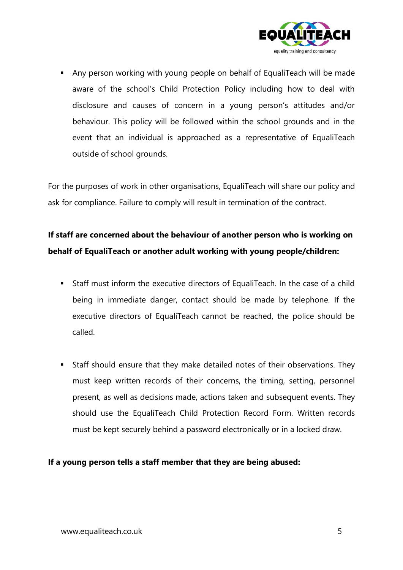

■ Any person working with young people on behalf of EqualiTeach will be made aware of the school's Child Protection Policy including how to deal with disclosure and causes of concern in a young person's attitudes and/or behaviour. This policy will be followed within the school grounds and in the event that an individual is approached as a representative of EqualiTeach outside of school grounds.

For the purposes of work in other organisations, EqualiTeach will share our policy and ask for compliance. Failure to comply will result in termination of the contract.

## **If staff are concerned about the behaviour of another person who is working on behalf of EqualiTeach or another adult working with young people/children:**

- Staff must inform the executive directors of EqualiTeach. In the case of a child being in immediate danger, contact should be made by telephone. If the executive directors of EqualiTeach cannot be reached, the police should be called.
- Staff should ensure that they make detailed notes of their observations. They must keep written records of their concerns, the timing, setting, personnel present, as well as decisions made, actions taken and subsequent events. They should use the EqualiTeach Child Protection Record Form. Written records must be kept securely behind a password electronically or in a locked draw.

### **If a young person tells a staff member that they are being abused:**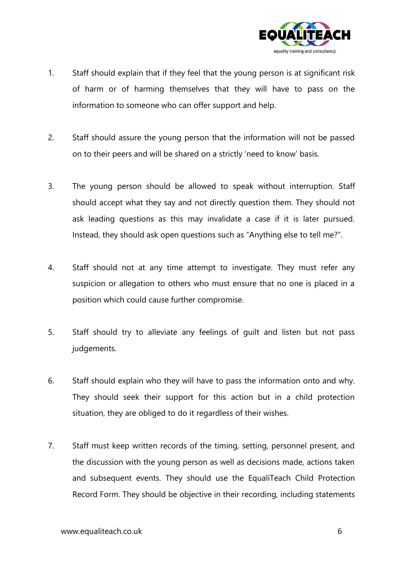

- 1. Staff should explain that if they feel that the young person is at significant risk of harm or of harming themselves that they will have to pass on the information to someone who can offer support and help.
- 2. Staff should assure the young person that the information will not be passed on to their peers and will be shared on a strictly 'need to know' basis.
- 3. The young person should be allowed to speak without interruption. Staff should accept what they say and not directly question them. They should not ask leading questions as this may invalidate a case if it is later pursued. Instead, they should ask open questions such as "Anything else to tell me?".
- 4. Staff should not at any time attempt to investigate. They must refer any suspicion or allegation to others who must ensure that no one is placed in a position which could cause further compromise.
- 5. Staff should try to alleviate any feelings of guilt and listen but not pass judgements.
- 6. Staff should explain who they will have to pass the information onto and why. They should seek their support for this action but in a child protection situation, they are obliged to do it regardless of their wishes.
- 7. Staff must keep written records of the timing, setting, personnel present, and the discussion with the young person as well as decisions made, actions taken and subsequent events. They should use the EqualiTeach Child Protection Record Form. They should be objective in their recording, including statements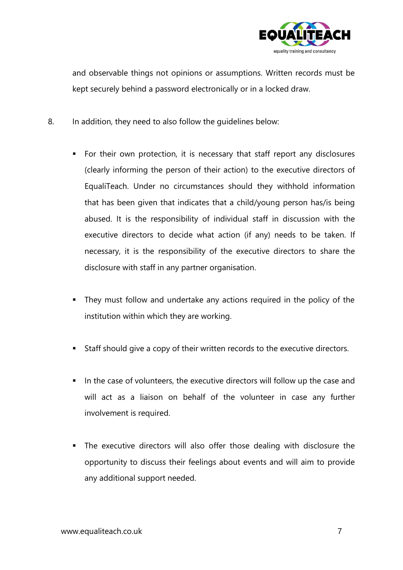

and observable things not opinions or assumptions. Written records must be kept securely behind a password electronically or in a locked draw.

- 8. In addition, they need to also follow the guidelines below:
	- For their own protection, it is necessary that staff report any disclosures (clearly informing the person of their action) to the executive directors of EqualiTeach. Under no circumstances should they withhold information that has been given that indicates that a child/young person has/is being abused. It is the responsibility of individual staff in discussion with the executive directors to decide what action (if any) needs to be taken. If necessary, it is the responsibility of the executive directors to share the disclosure with staff in any partner organisation.
	- They must follow and undertake any actions required in the policy of the institution within which they are working.
	- Staff should give a copy of their written records to the executive directors.
	- In the case of volunteers, the executive directors will follow up the case and will act as a liaison on behalf of the volunteer in case any further involvement is required.
	- The executive directors will also offer those dealing with disclosure the opportunity to discuss their feelings about events and will aim to provide any additional support needed.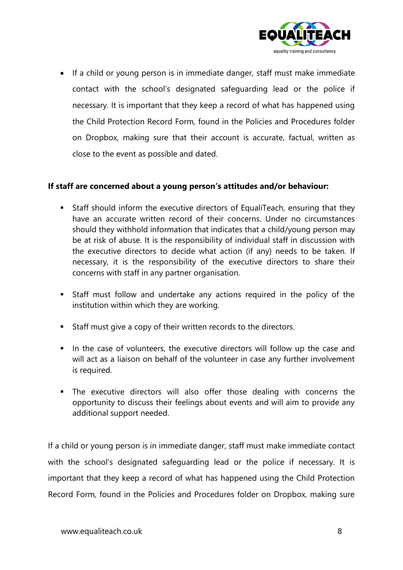

• If a child or young person is in immediate danger, staff must make immediate contact with the school's designated safeguarding lead or the police if necessary. It is important that they keep a record of what has happened using the Child Protection Record Form, found in the Policies and Procedures folder on Dropbox, making sure that their account is accurate, factual, written as close to the event as possible and dated.

#### **If staff are concerned about a young person's attitudes and/or behaviour:**

- Staff should inform the executive directors of EqualiTeach, ensuring that they have an accurate written record of their concerns. Under no circumstances should they withhold information that indicates that a child/young person may be at risk of abuse. It is the responsibility of individual staff in discussion with the executive directors to decide what action (if any) needs to be taken. If necessary, it is the responsibility of the executive directors to share their concerns with staff in any partner organisation.
- Staff must follow and undertake any actions required in the policy of the institution within which they are working.
- Staff must give a copy of their written records to the directors.
- In the case of volunteers, the executive directors will follow up the case and will act as a liaison on behalf of the volunteer in case any further involvement is required.
- The executive directors will also offer those dealing with concerns the opportunity to discuss their feelings about events and will aim to provide any additional support needed.

If a child or young person is in immediate danger, staff must make immediate contact with the school's designated safeguarding lead or the police if necessary. It is important that they keep a record of what has happened using the Child Protection Record Form, found in the Policies and Procedures folder on Dropbox, making sure